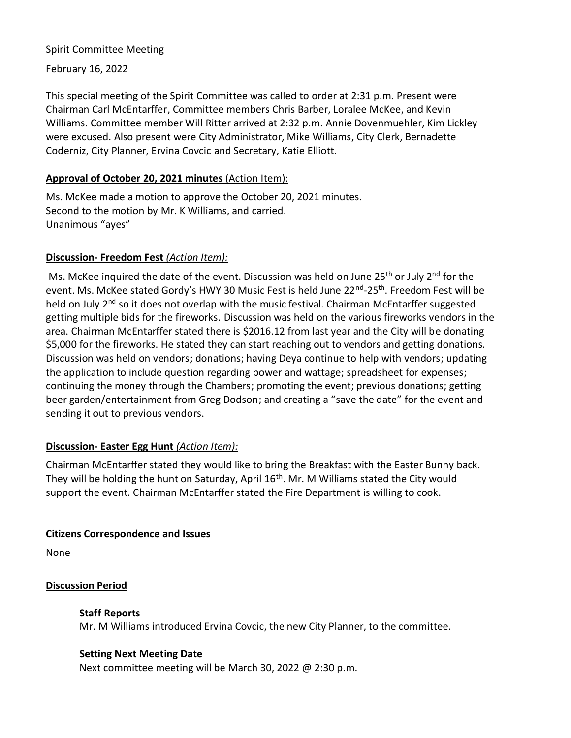#### Spirit Committee Meeting

February 16, 2022

This special meeting of the Spirit Committee was called to order at 2:31 p.m. Present were Chairman Carl McEntarffer, Committee members Chris Barber, Loralee McKee, and Kevin Williams. Committee member Will Ritter arrived at 2:32 p.m. Annie Dovenmuehler, Kim Lickley were excused. Also present were City Administrator, Mike Williams, City Clerk, Bernadette Coderniz, City Planner, Ervina Covcic and Secretary, Katie Elliott.

#### **Approval of October 20, 2021 minutes** (Action Item):

Ms. McKee made a motion to approve the October 20, 2021 minutes. Second to the motion by Mr. K Williams, and carried. Unanimous "ayes"

## **Discussion- Freedom Fest** *(Action Item):*

Ms. McKee inquired the date of the event. Discussion was held on June 25<sup>th</sup> or July 2<sup>nd</sup> for the event. Ms. McKee stated Gordy's HWY 30 Music Fest is held June 22<sup>nd</sup>-25<sup>th</sup>. Freedom Fest will be held on July 2<sup>nd</sup> so it does not overlap with the music festival. Chairman McEntarffer suggested getting multiple bids for the fireworks. Discussion was held on the various fireworks vendors in the area. Chairman McEntarffer stated there is \$2016.12 from last year and the City will be donating \$5,000 for the fireworks. He stated they can start reaching out to vendors and getting donations. Discussion was held on vendors; donations; having Deya continue to help with vendors; updating the application to include question regarding power and wattage; spreadsheet for expenses; continuing the money through the Chambers; promoting the event; previous donations; getting beer garden/entertainment from Greg Dodson; and creating a "save the date" for the event and sending it out to previous vendors.

## **Discussion- Easter Egg Hunt** *(Action Item):*

Chairman McEntarffer stated they would like to bring the Breakfast with the Easter Bunny back. They will be holding the hunt on Saturday, April 16<sup>th</sup>. Mr. M Williams stated the City would support the event. Chairman McEntarffer stated the Fire Department is willing to cook.

## **Citizens Correspondence and Issues**

None

## **Discussion Period**

## **Staff Reports**

Mr. M Williams introduced Ervina Covcic, the new City Planner, to the committee.

## **Setting Next Meeting Date**

Next committee meeting will be March 30, 2022 @ 2:30 p.m.